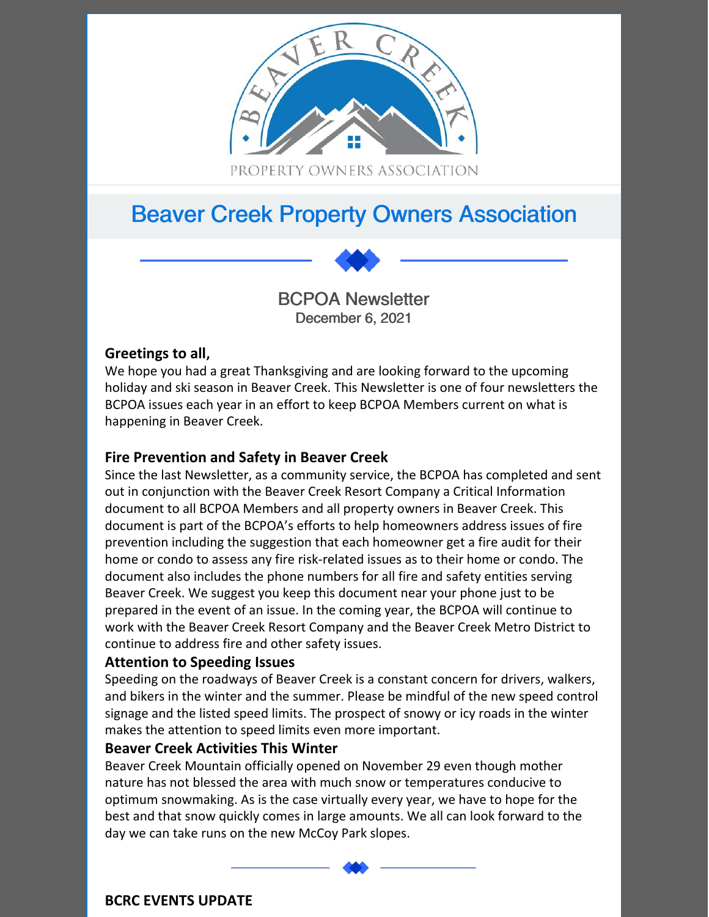

# Beaver Creek Property Owners Association

BCPOA Newsletter December 6, 2021

# **Greetings to all,**

We hope you had a great Thanksgiving and are looking forward to the upcoming holiday and ski season in Beaver Creek. This Newsletter is one of four newsletters the BCPOA issues each year in an effort to keep BCPOA Members current on what is happening in Beaver Creek.

# **Fire Prevention and Safety in Beaver Creek**

Since the last Newsletter, as a community service, the BCPOA has completed and sent out in conjunction with the Beaver Creek Resort Company a Critical Information document to all BCPOA Members and all property owners in Beaver Creek. This document is part of the BCPOA's efforts to help homeowners address issues of fire prevention including the suggestion that each homeowner get a fire audit for their home or condo to assess any fire risk-related issues as to their home or condo. The document also includes the phone numbers for all fire and safety entities serving Beaver Creek. We suggest you keep this document near your phone just to be prepared in the event of an issue. In the coming year, the BCPOA will continue to work with the Beaver Creek Resort Company and the Beaver Creek Metro District to continue to address fire and other safety issues.

## **Attention to Speeding Issues**

Speeding on the roadways of Beaver Creek is a constant concern for drivers, walkers, and bikers in the winter and the summer. Please be mindful of the new speed control signage and the listed speed limits. The prospect of snowy or icy roads in the winter makes the attention to speed limits even more important.

#### **Beaver Creek Activities This Winter**

Beaver Creek Mountain officially opened on November 29 even though mother nature has not blessed the area with much snow or temperatures conducive to optimum snowmaking. As is the case virtually every year, we have to hope for the best and that snow quickly comes in large amounts. We all can look forward to the day we can take runs on the new McCoy Park slopes.

**BCRC EVENTS UPDATE**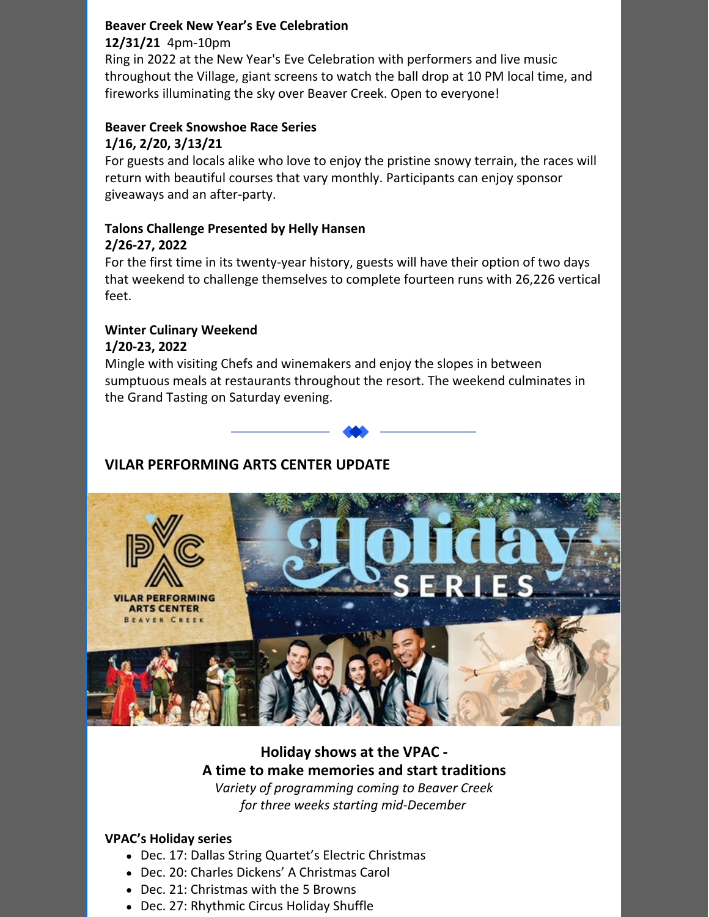# **Beaver Creek New Year's Eve Celebration 12/31/21** 4pm-10pm

Ring in 2022 at the New Year's Eve Celebration with performers and live music throughout the Village, giant screens to watch the ball drop at 10 PM local time, and fireworks illuminating the sky over Beaver Creek. Open to everyone!

#### **Beaver Creek Snowshoe Race Series 1/16, 2/20, 3/13/21**

For guests and locals alike who love to enjoy the pristine snowy terrain, the races will return with beautiful courses that vary monthly. Participants can enjoy sponsor giveaways and an after-party.

#### **Talons Challenge Presented by Helly Hansen 2/26-27, 2022**

For the first time in its twenty-year history, guests will have their option of two days that weekend to challenge themselves to complete fourteen runs with 26,226 vertical feet.

## **Winter Culinary Weekend 1/20-23, 2022**

Mingle with visiting Chefs and winemakers and enjoy the slopes in between sumptuous meals at restaurants throughout the resort. The weekend culminates in the Grand Tasting on Saturday evening.





# **Holiday shows at the VPAC - A time to make memories and start traditions**

*Variety of programming coming to Beaver Creek for three weeks starting mid-December*

## **VPAC's Holiday series**

- Dec. 17: Dallas String Quartet's Electric Christmas
- Dec. 20: Charles Dickens' A Christmas Carol
- Dec. 21: Christmas with the 5 Browns
- Dec. 27: Rhythmic Circus Holiday Shuffle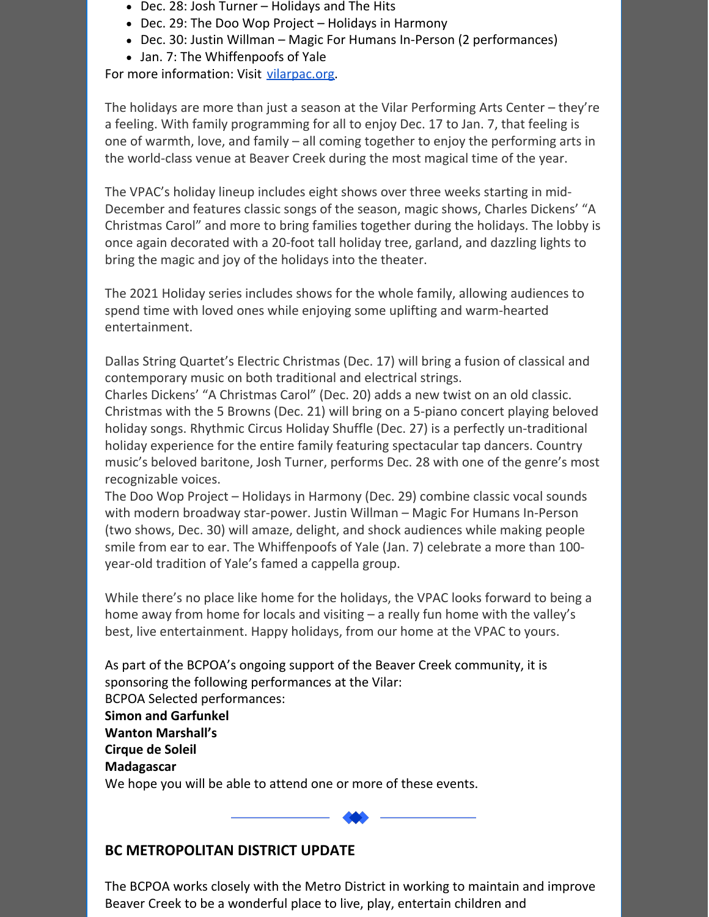- Dec. 28: Josh Turner Holidays and The Hits
- Dec. 29: The Doo Wop Project Holidays in Harmony
- Dec. 30: Justin Willman Magic For Humans In-Person (2 performances)
- Jan. 7: The Whiffenpoofs of Yale

For more information: Visit [vilarpac.org](https://vilarpac.org/).

The holidays are more than just a season at the Vilar Performing Arts Center – they're a feeling. With family programming for all to enjoy Dec. 17 to Jan. 7, that feeling is one of warmth, love, and family – all coming together to enjoy the performing arts in the world-class venue at Beaver Creek during the most magical time of the year.

The VPAC's holiday lineup includes eight shows over three weeks starting in mid-December and features classic songs of the season, magic shows, Charles Dickens' "A Christmas Carol" and more to bring families together during the holidays. The lobby is once again decorated with a 20-foot tall holiday tree, garland, and dazzling lights to bring the magic and joy of the holidays into the theater.

The 2021 Holiday series includes shows for the whole family, allowing audiences to spend time with loved ones while enjoying some uplifting and warm-hearted entertainment.

Dallas String Quartet's Electric Christmas (Dec. 17) will bring a fusion of classical and contemporary music on both traditional and electrical strings.

Charles Dickens' "A Christmas Carol" (Dec. 20) adds a new twist on an old classic. Christmas with the 5 Browns (Dec. 21) will bring on a 5-piano concert playing beloved holiday songs. Rhythmic Circus Holiday Shuffle (Dec. 27) is a perfectly un-traditional holiday experience for the entire family featuring spectacular tap dancers. Country music's beloved baritone, Josh Turner, performs Dec. 28 with one of the genre's most recognizable voices.

The Doo Wop Project – Holidays in Harmony (Dec. 29) combine classic vocal sounds with modern broadway star-power. Justin Willman – Magic For Humans In-Person (two shows, Dec. 30) will amaze, delight, and shock audiences while making people smile from ear to ear. The Whiffenpoofs of Yale (Jan. 7) celebrate a more than 100 year-old tradition of Yale's famed a cappella group.

While there's no place like home for the holidays, the VPAC looks forward to being a home away from home for locals and visiting – a really fun home with the valley's best, live entertainment. Happy holidays, from our home at the VPAC to yours.

As part of the BCPOA's ongoing support of the Beaver Creek community, it is sponsoring the following performances at the Vilar: BCPOA Selected performances: **Simon and Garfunkel Wanton Marshall's Cirque de Soleil Madagascar** We hope you will be able to attend one or more of these events.

## **BC METROPOLITAN DISTRICT UPDATE**

The BCPOA works closely with the Metro District in working to maintain and improve Beaver Creek to be a wonderful place to live, play, entertain children and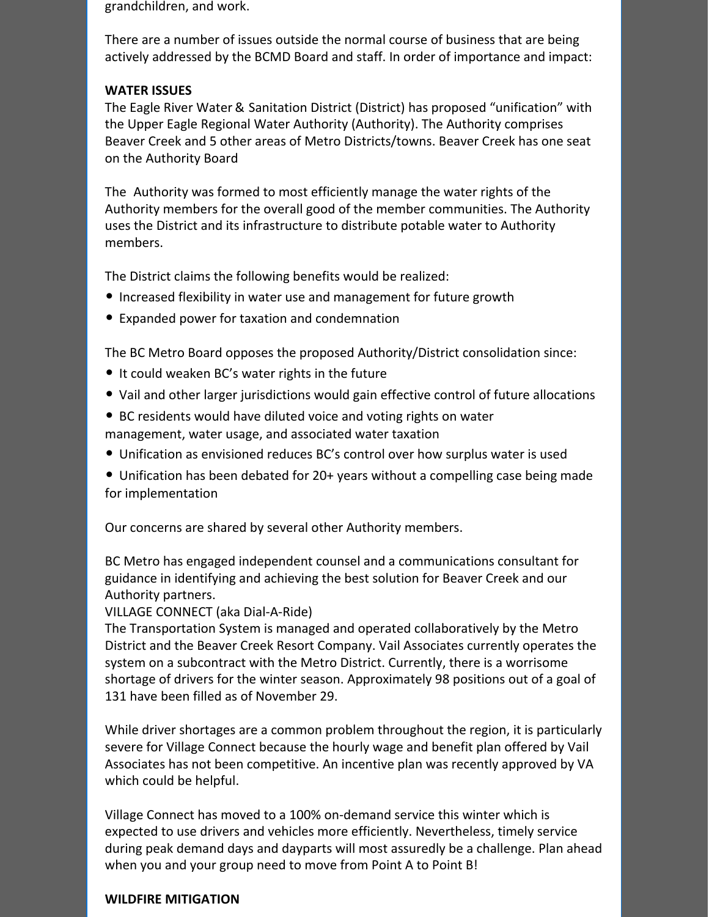grandchildren, and work.

There are a number of issues outside the normal course of business that are being actively addressed by the BCMD Board and staff. In order of importance and impact:

#### **WATER ISSUES**

The Eagle River Water & Sanitation District (District) has proposed "unification" with the Upper Eagle Regional Water Authority (Authority). The Authority comprises Beaver Creek and 5 other areas of Metro Districts/towns. Beaver Creek has one seat on the Authority Board

The Authority was formed to most efficiently manage the water rights of the Authority members for the overall good of the member communities. The Authority uses the District and its infrastructure to distribute potable water to Authority members.

The District claims the following benefits would be realized:

- Increased flexibility in water use and management for future growth
- Expanded power for taxation and condemnation

The BC Metro Board opposes the proposed Authority/District consolidation since:

- It could weaken BC's water rights in the future
- Vail and other larger jurisdictions would gain effective control of future allocations
- BC residents would have diluted voice and voting rights on water management, water usage, and associated water taxation
- Unification as envisioned reduces BC's control over how surplus water is used
- Unification has been debated for 20+ years without a compelling case being made for implementation

Our concerns are shared by several other Authority members.

BC Metro has engaged independent counsel and a communications consultant for guidance in identifying and achieving the best solution for Beaver Creek and our Authority partners.

#### VILLAGE CONNECT (aka Dial-A-Ride)

The Transportation System is managed and operated collaboratively by the Metro District and the Beaver Creek Resort Company. Vail Associates currently operates the system on a subcontract with the Metro District. Currently, there is a worrisome shortage of drivers for the winter season. Approximately 98 positions out of a goal of 131 have been filled as of November 29.

While driver shortages are a common problem throughout the region, it is particularly severe for Village Connect because the hourly wage and benefit plan offered by Vail Associates has not been competitive. An incentive plan was recently approved by VA which could be helpful.

Village Connect has moved to a 100% on-demand service this winter which is expected to use drivers and vehicles more efficiently. Nevertheless, timely service during peak demand days and dayparts will most assuredly be a challenge. Plan ahead when you and your group need to move from Point A to Point B!

#### **WILDFIRE MITIGATION**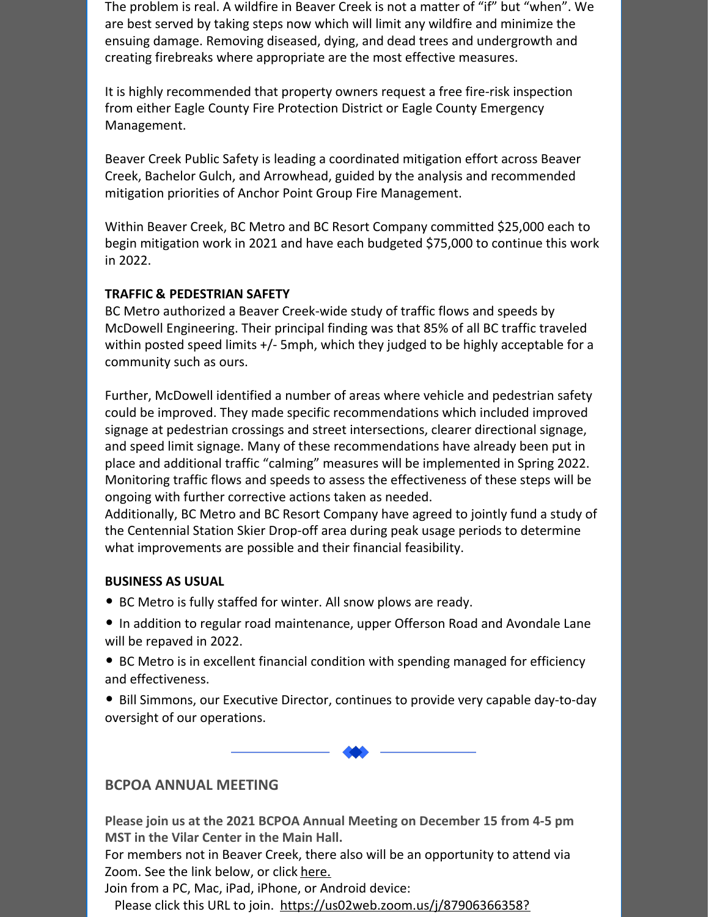The problem is real. A wildfire in Beaver Creek is not a matter of "if" but "when". We are best served by taking steps now which will limit any wildfire and minimize the ensuing damage. Removing diseased, dying, and dead trees and undergrowth and creating firebreaks where appropriate are the most effective measures.

It is highly recommended that property owners request a free fire-risk inspection from either Eagle County Fire Protection District or Eagle County Emergency Management.

Beaver Creek Public Safety is leading a coordinated mitigation effort across Beaver Creek, Bachelor Gulch, and Arrowhead, guided by the analysis and recommended mitigation priorities of Anchor Point Group Fire Management.

Within Beaver Creek, BC Metro and BC Resort Company committed \$25,000 each to begin mitigation work in 2021 and have each budgeted \$75,000 to continue this work in 2022.

## **TRAFFIC & PEDESTRIAN SAFETY**

BC Metro authorized a Beaver Creek-wide study of traffic flows and speeds by McDowell Engineering. Their principal finding was that 85% of all BC traffic traveled within posted speed limits +/- 5mph, which they judged to be highly acceptable for a community such as ours.

Further, McDowell identified a number of areas where vehicle and pedestrian safety could be improved. They made specific recommendations which included improved signage at pedestrian crossings and street intersections, clearer directional signage, and speed limit signage. Many of these recommendations have already been put in place and additional traffic "calming" measures will be implemented in Spring 2022. Monitoring traffic flows and speeds to assess the effectiveness of these steps will be ongoing with further corrective actions taken as needed.

Additionally, BC Metro and BC Resort Company have agreed to jointly fund a study of the Centennial Station Skier Drop-off area during peak usage periods to determine what improvements are possible and their financial feasibility.

#### **BUSINESS AS USUAL**

- BC Metro is fully staffed for winter. All snow plows are ready.
- In addition to regular road maintenance, upper Offerson Road and Avondale Lane will be repaved in 2022.
- BC Metro is in excellent financial condition with spending managed for efficiency and effectiveness.
- Bill Simmons, our Executive Director, continues to provide very capable day-to-day oversight of our operations.

## **BCPOA ANNUAL MEETING**

**Please join us at the 2021 BCPOA Annual Meeting on December 15 from 4-5 pm MST in the Vilar Center in the Main Hall.**

For members not in Beaver Creek, there also will be an opportunity to attend via Zoom. See the link below, or click [here.](https://us02web.zoom.us/j/87906366358?pwd=dU9aZG53TnlvTE45dzZkWWc5MnJ4UT09)

Join from a PC, Mac, iPad, iPhone, or Android device:

Please click this URL to join. [https://us02web.zoom.us/j/87906366358?](https://us02web.zoom.us/j/87906366358?pwd=dU9aZG53TnlvTE45dzZkWWc5MnJ4UT09)